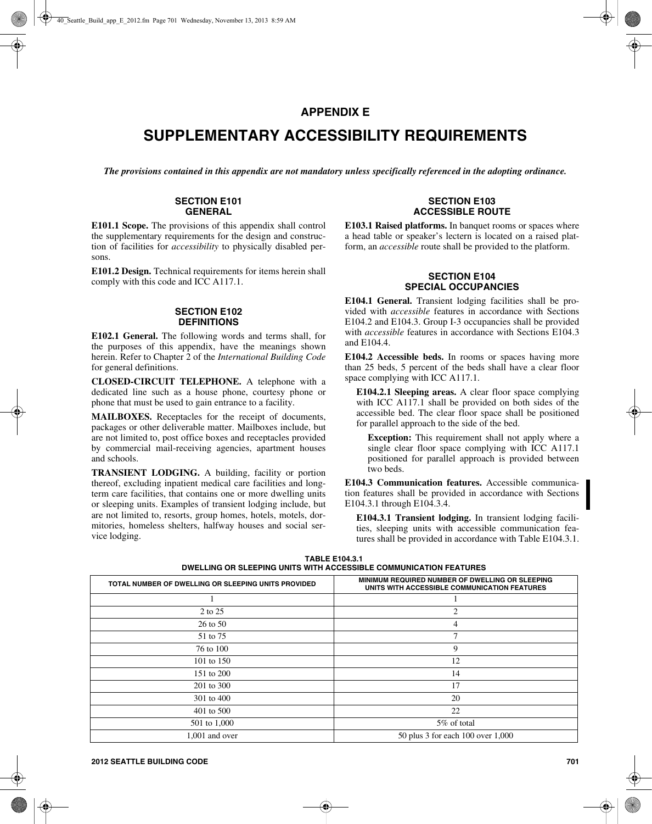## **APPENDIX E**

# **SUPPLEMENTARY ACCESSIBILITY REQUIREMENTS**

*The provisions contained in this appendix are not mandatory unless specifically referenced in the adopting ordinance.*

#### **SECTION E101 GENERAL**

**E101.1 Scope.** The provisions of this appendix shall control the supplementary requirements for the design and construction of facilities for *accessibility* to physically disabled persons.

**E101.2 Design.** Technical requirements for items herein shall comply with this code and ICC A117.1.

#### **SECTION E102 DEFINITIONS**

**E102.1 General.** The following words and terms shall, for the purposes of this appendix, have the meanings shown herein. Refer to Chapter 2 of the *International Building Code* for general definitions.

**CLOSED-CIRCUIT TELEPHONE.** A telephone with a dedicated line such as a house phone, courtesy phone or phone that must be used to gain entrance to a facility.

**MAILBOXES.** Receptacles for the receipt of documents, packages or other deliverable matter. Mailboxes include, but are not limited to, post office boxes and receptacles provided by commercial mail-receiving agencies, apartment houses and schools.

**TRANSIENT LODGING.** A building, facility or portion thereof, excluding inpatient medical care facilities and longterm care facilities, that contains one or more dwelling units or sleeping units. Examples of transient lodging include, but are not limited to, resorts, group homes, hotels, motels, dormitories, homeless shelters, halfway houses and social service lodging.

#### **SECTION E103 ACCESSIBLE ROUTE**

**E103.1 Raised platforms.** In banquet rooms or spaces where a head table or speaker's lectern is located on a raised platform, an *accessible* route shall be provided to the platform.

## **SECTION E104 SPECIAL OCCUPANCIES**

**E104.1 General.** Transient lodging facilities shall be provided with *accessible* features in accordance with Sections E104.2 and E104.3. Group I-3 occupancies shall be provided with *accessible* features in accordance with Sections E104.3 and E104.4.

**E104.2 Accessible beds.** In rooms or spaces having more than 25 beds, 5 percent of the beds shall have a clear floor space complying with ICC A117.1.

**E104.2.1 Sleeping areas.** A clear floor space complying with ICC A117.1 shall be provided on both sides of the accessible bed. The clear floor space shall be positioned for parallel approach to the side of the bed.

**Exception:** This requirement shall not apply where a single clear floor space complying with ICC A117.1 positioned for parallel approach is provided between two beds.

**E104.3 Communication features.** Accessible communication features shall be provided in accordance with Sections E104.3.1 through E104.3.4.

**E104.3.1 Transient lodging.** In transient lodging facilities, sleeping units with accessible communication features shall be provided in accordance with Table E104.3.1.

**TABLE E104.3.1 DWELLING OR SLEEPING UNITS WITH ACCESSIBLE COMMUNICATION FEATURES**

| TOTAL NUMBER OF DWELLING OR SLEEPING UNITS PROVIDED | MINIMUM REQUIRED NUMBER OF DWELLING OR SLEEPING<br>UNITS WITH ACCESSIBLE COMMUNICATION FEATURES |  |
|-----------------------------------------------------|-------------------------------------------------------------------------------------------------|--|
|                                                     |                                                                                                 |  |
| 2 to 25                                             | 2                                                                                               |  |
| $26$ to $50$                                        | 4                                                                                               |  |
| 51 to 75                                            | 7                                                                                               |  |
| 76 to 100                                           | 9                                                                                               |  |
| 101 to 150                                          | 12                                                                                              |  |
| 151 to 200                                          | 14                                                                                              |  |
| 201 to 300                                          | 17                                                                                              |  |
| 301 to 400                                          | 20                                                                                              |  |
| 401 to 500                                          | 22                                                                                              |  |
| 501 to 1,000                                        | 5% of total                                                                                     |  |
| 1,001 and over                                      | 50 plus 3 for each 100 over 1,000                                                               |  |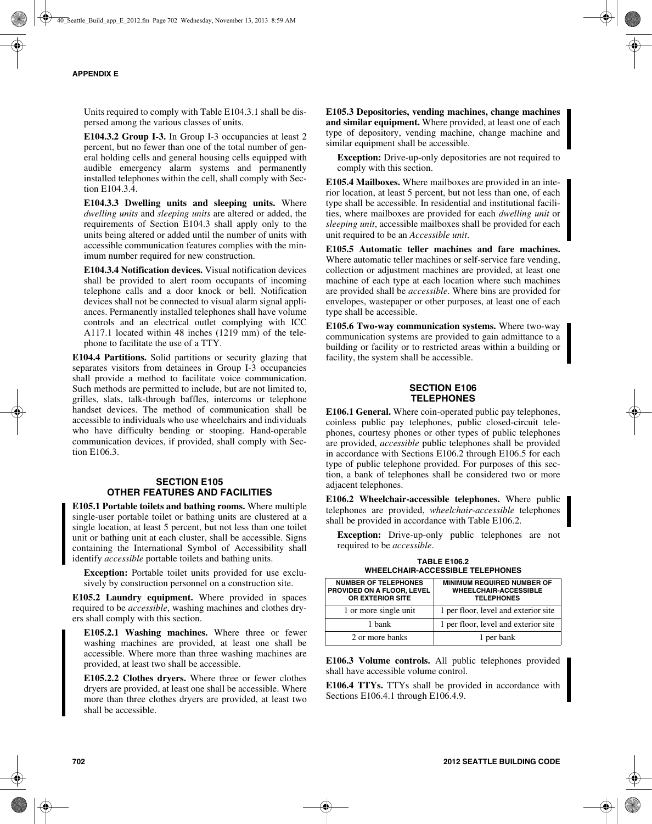Units required to comply with Table E104.3.1 shall be dispersed among the various classes of units.

**E104.3.2 Group I-3.** In Group I-3 occupancies at least 2 percent, but no fewer than one of the total number of general holding cells and general housing cells equipped with audible emergency alarm systems and permanently installed telephones within the cell, shall comply with Section E104.3.4.

**E104.3.3 Dwelling units and sleeping units.** Where *dwelling units* and *sleeping units* are altered or added, the requirements of Section E104.3 shall apply only to the units being altered or added until the number of units with accessible communication features complies with the minimum number required for new construction.

**E104.3.4 Notification devices.** Visual notification devices shall be provided to alert room occupants of incoming telephone calls and a door knock or bell. Notification devices shall not be connected to visual alarm signal appliances. Permanently installed telephones shall have volume controls and an electrical outlet complying with ICC A117.1 located within 48 inches (1219 mm) of the telephone to facilitate the use of a TTY.

**E104.4 Partitions.** Solid partitions or security glazing that separates visitors from detainees in Group I-3 occupancies shall provide a method to facilitate voice communication. Such methods are permitted to include, but are not limited to, grilles, slats, talk-through baffles, intercoms or telephone handset devices. The method of communication shall be accessible to individuals who use wheelchairs and individuals who have difficulty bending or stooping. Hand-operable communication devices, if provided, shall comply with Section E106.3.

## **SECTION E105 OTHER FEATURES AND FACILITIES**

**E105.1 Portable toilets and bathing rooms.** Where multiple single-user portable toilet or bathing units are clustered at a single location, at least 5 percent, but not less than one toilet unit or bathing unit at each cluster, shall be accessible. Signs containing the International Symbol of Accessibility shall identify *accessible* portable toilets and bathing units.

**Exception:** Portable toilet units provided for use exclusively by construction personnel on a construction site.

**E105.2 Laundry equipment.** Where provided in spaces required to be *accessible*, washing machines and clothes dryers shall comply with this section.

**E105.2.1 Washing machines.** Where three or fewer washing machines are provided, at least one shall be accessible. Where more than three washing machines are provided, at least two shall be accessible.

**E105.2.2 Clothes dryers.** Where three or fewer clothes dryers are provided, at least one shall be accessible. Where more than three clothes dryers are provided, at least two shall be accessible.

**E105.3 Depositories, vending machines, change machines and similar equipment.** Where provided, at least one of each type of depository, vending machine, change machine and similar equipment shall be accessible.

**Exception:** Drive-up-only depositories are not required to comply with this section.

**E105.4 Mailboxes.** Where mailboxes are provided in an interior location, at least 5 percent, but not less than one, of each type shall be accessible. In residential and institutional facilities, where mailboxes are provided for each *dwelling unit* or *sleeping unit*, accessible mailboxes shall be provided for each unit required to be an *Accessible unit*.

**E105.5 Automatic teller machines and fare machines.** Where automatic teller machines or self-service fare vending, collection or adjustment machines are provided, at least one machine of each type at each location where such machines are provided shall be *accessible*. Where bins are provided for envelopes, wastepaper or other purposes, at least one of each type shall be accessible.

**E105.6 Two-way communication systems.** Where two-way communication systems are provided to gain admittance to a building or facility or to restricted areas within a building or facility, the system shall be accessible.

## **SECTION E106 TELEPHONES**

**E106.1 General.** Where coin-operated public pay telephones, coinless public pay telephones, public closed-circuit telephones, courtesy phones or other types of public telephones are provided, *accessible* public telephones shall be provided in accordance with Sections E106.2 through E106.5 for each type of public telephone provided. For purposes of this section, a bank of telephones shall be considered two or more adjacent telephones.

**E106.2 Wheelchair-accessible telephones.** Where public telephones are provided, *wheelchair-accessible* telephones shall be provided in accordance with Table E106.2.

**Exception:** Drive-up-only public telephones are not required to be *accessible*.

**TABLE E106.2 WHEELCHAIR-ACCESSIBLE TELEPHONES**

| <b>NUMBER OF TELEPHONES</b><br>PROVIDED ON A FLOOR, LEVEL<br>OR EXTERIOR SITE | <b>MINIMUM REQUIRED NUMBER OF</b><br><b>WHEELCHAIR-ACCESSIBLE</b><br><b>TELEPHONES</b> |  |
|-------------------------------------------------------------------------------|----------------------------------------------------------------------------------------|--|
| 1 or more single unit                                                         | 1 per floor, level and exterior site                                                   |  |
| 1 hank                                                                        | 1 per floor, level and exterior site                                                   |  |
| 2 or more banks                                                               | 1 per bank                                                                             |  |

**E106.3 Volume controls.** All public telephones provided shall have accessible volume control.

**E106.4 TTYs.** TTYs shall be provided in accordance with Sections E106.4.1 through E106.4.9.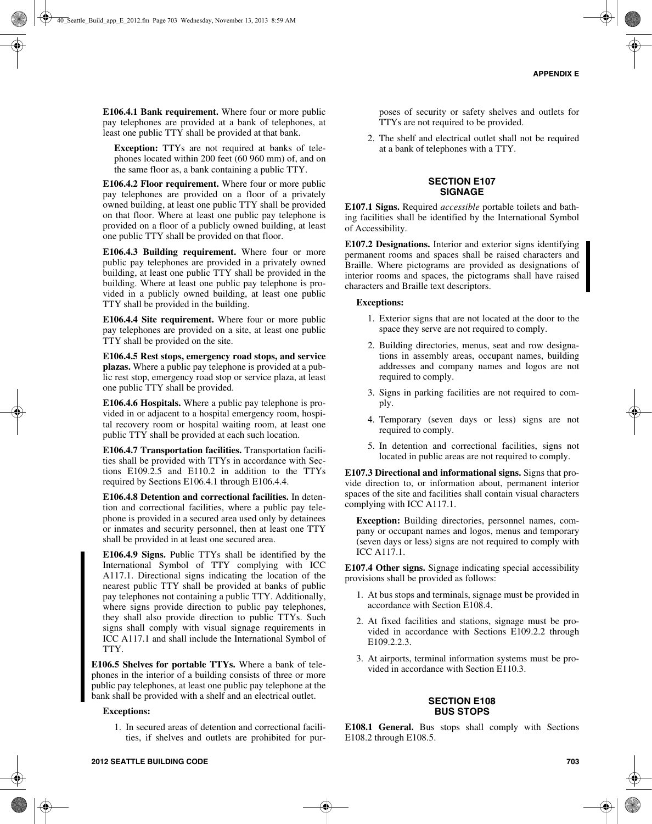**E106.4.1 Bank requirement.** Where four or more public pay telephones are provided at a bank of telephones, at least one public TTY shall be provided at that bank.

**Exception:** TTYs are not required at banks of telephones located within 200 feet (60 960 mm) of, and on the same floor as, a bank containing a public TTY.

**E106.4.2 Floor requirement.** Where four or more public pay telephones are provided on a floor of a privately owned building, at least one public TTY shall be provided on that floor. Where at least one public pay telephone is provided on a floor of a publicly owned building, at least one public TTY shall be provided on that floor.

**E106.4.3 Building requirement.** Where four or more public pay telephones are provided in a privately owned building, at least one public TTY shall be provided in the building. Where at least one public pay telephone is provided in a publicly owned building, at least one public TTY shall be provided in the building.

**E106.4.4 Site requirement.** Where four or more public pay telephones are provided on a site, at least one public TTY shall be provided on the site.

**E106.4.5 Rest stops, emergency road stops, and service plazas.** Where a public pay telephone is provided at a public rest stop, emergency road stop or service plaza, at least one public TTY shall be provided.

**E106.4.6 Hospitals.** Where a public pay telephone is provided in or adjacent to a hospital emergency room, hospital recovery room or hospital waiting room, at least one public TTY shall be provided at each such location.

**E106.4.7 Transportation facilities.** Transportation facilities shall be provided with TTYs in accordance with Sections E109.2.5 and E110.2 in addition to the TTYs required by Sections E106.4.1 through E106.4.4.

**E106.4.8 Detention and correctional facilities.** In detention and correctional facilities, where a public pay telephone is provided in a secured area used only by detainees or inmates and security personnel, then at least one TTY shall be provided in at least one secured area.

**E106.4.9 Signs.** Public TTYs shall be identified by the International Symbol of TTY complying with ICC A117.1. Directional signs indicating the location of the nearest public TTY shall be provided at banks of public pay telephones not containing a public TTY. Additionally, where signs provide direction to public pay telephones, they shall also provide direction to public TTYs. Such signs shall comply with visual signage requirements in ICC A117.1 and shall include the International Symbol of TTY.

**E106.5 Shelves for portable TTYs.** Where a bank of telephones in the interior of a building consists of three or more public pay telephones, at least one public pay telephone at the bank shall be provided with a shelf and an electrical outlet.

#### **Exceptions:**

1. In secured areas of detention and correctional facilities, if shelves and outlets are prohibited for purposes of security or safety shelves and outlets for TTYs are not required to be provided.

2. The shelf and electrical outlet shall not be required at a bank of telephones with a TTY.

## **SECTION E107 SIGNAGE**

**E107.1 Signs.** Required *accessible* portable toilets and bathing facilities shall be identified by the International Symbol of Accessibility.

**E107.2 Designations.** Interior and exterior signs identifying permanent rooms and spaces shall be raised characters and Braille. Where pictograms are provided as designations of interior rooms and spaces, the pictograms shall have raised characters and Braille text descriptors.

#### **Exceptions:**

- 1. Exterior signs that are not located at the door to the space they serve are not required to comply.
- 2. Building directories, menus, seat and row designations in assembly areas, occupant names, building addresses and company names and logos are not required to comply.
- 3. Signs in parking facilities are not required to comply.
- 4. Temporary (seven days or less) signs are not required to comply.
- 5. In detention and correctional facilities, signs not located in public areas are not required to comply.

**E107.3 Directional and informational signs.** Signs that provide direction to, or information about, permanent interior spaces of the site and facilities shall contain visual characters complying with ICC A117.1.

**Exception:** Building directories, personnel names, company or occupant names and logos, menus and temporary (seven days or less) signs are not required to comply with ICC A117.1.

**E107.4 Other signs.** Signage indicating special accessibility provisions shall be provided as follows:

- 1. At bus stops and terminals, signage must be provided in accordance with Section E108.4.
- 2. At fixed facilities and stations, signage must be provided in accordance with Sections E109.2.2 through E109.2.2.3.
- 3. At airports, terminal information systems must be provided in accordance with Section E110.3.

#### **SECTION E108 BUS STOPS**

**E108.1 General.** Bus stops shall comply with Sections E108.2 through E108.5.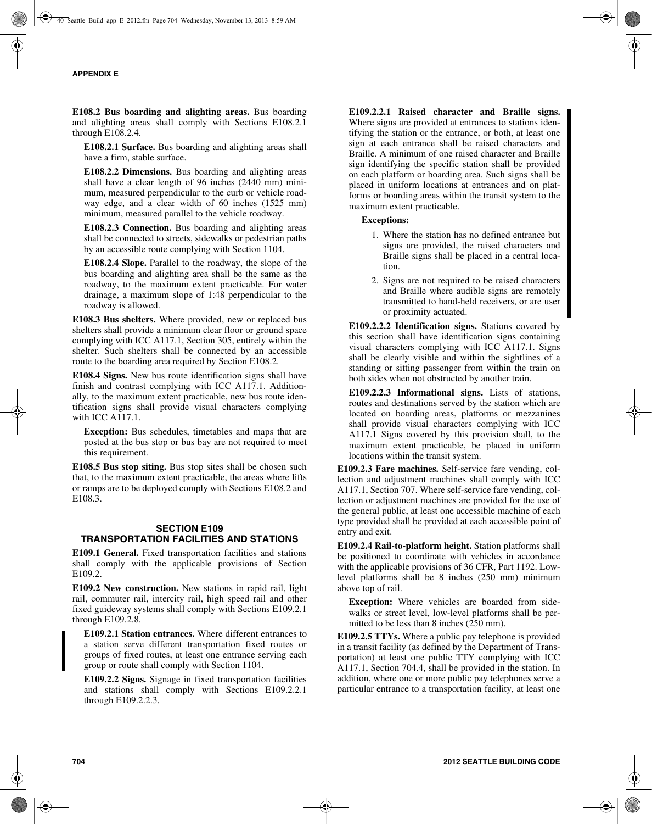**E108.2 Bus boarding and alighting areas.** Bus boarding and alighting areas shall comply with Sections E108.2.1 through E108.2.4.

**E108.2.1 Surface.** Bus boarding and alighting areas shall have a firm, stable surface.

**E108.2.2 Dimensions.** Bus boarding and alighting areas shall have a clear length of 96 inches (2440 mm) minimum, measured perpendicular to the curb or vehicle roadway edge, and a clear width of 60 inches (1525 mm) minimum, measured parallel to the vehicle roadway.

**E108.2.3 Connection.** Bus boarding and alighting areas shall be connected to streets, sidewalks or pedestrian paths by an accessible route complying with Section 1104.

**E108.2.4 Slope.** Parallel to the roadway, the slope of the bus boarding and alighting area shall be the same as the roadway, to the maximum extent practicable. For water drainage, a maximum slope of 1:48 perpendicular to the roadway is allowed.

**E108.3 Bus shelters.** Where provided, new or replaced bus shelters shall provide a minimum clear floor or ground space complying with ICC A117.1, Section 305, entirely within the shelter. Such shelters shall be connected by an accessible route to the boarding area required by Section E108.2.

**E108.4 Signs.** New bus route identification signs shall have finish and contrast complying with ICC A117.1. Additionally, to the maximum extent practicable, new bus route identification signs shall provide visual characters complying with ICC A117.1.

**Exception:** Bus schedules, timetables and maps that are posted at the bus stop or bus bay are not required to meet this requirement.

**E108.5 Bus stop siting.** Bus stop sites shall be chosen such that, to the maximum extent practicable, the areas where lifts or ramps are to be deployed comply with Sections E108.2 and E108.3.

## **SECTION E109 TRANSPORTATION FACILITIES AND STATIONS**

**E109.1 General.** Fixed transportation facilities and stations shall comply with the applicable provisions of Section E109.2.

**E109.2 New construction.** New stations in rapid rail, light rail, commuter rail, intercity rail, high speed rail and other fixed guideway systems shall comply with Sections E109.2.1 through E109.2.8.

**E109.2.1 Station entrances.** Where different entrances to a station serve different transportation fixed routes or groups of fixed routes, at least one entrance serving each group or route shall comply with Section 1104.

**E109.2.2 Signs.** Signage in fixed transportation facilities and stations shall comply with Sections E109.2.2.1 through E109.2.2.3.

**E109.2.2.1 Raised character and Braille signs.** Where signs are provided at entrances to stations identifying the station or the entrance, or both, at least one sign at each entrance shall be raised characters and Braille. A minimum of one raised character and Braille sign identifying the specific station shall be provided on each platform or boarding area. Such signs shall be placed in uniform locations at entrances and on platforms or boarding areas within the transit system to the maximum extent practicable.

#### **Exceptions:**

- 1. Where the station has no defined entrance but signs are provided, the raised characters and Braille signs shall be placed in a central location.
- 2. Signs are not required to be raised characters and Braille where audible signs are remotely transmitted to hand-held receivers, or are user or proximity actuated.

**E109.2.2.2 Identification signs.** Stations covered by this section shall have identification signs containing visual characters complying with ICC A117.1. Signs shall be clearly visible and within the sightlines of a standing or sitting passenger from within the train on both sides when not obstructed by another train.

**E109.2.2.3 Informational signs.** Lists of stations, routes and destinations served by the station which are located on boarding areas, platforms or mezzanines shall provide visual characters complying with ICC A117.1 Signs covered by this provision shall, to the maximum extent practicable, be placed in uniform locations within the transit system.

**E109.2.3 Fare machines.** Self-service fare vending, collection and adjustment machines shall comply with ICC A117.1, Section 707. Where self-service fare vending, collection or adjustment machines are provided for the use of the general public, at least one accessible machine of each type provided shall be provided at each accessible point of entry and exit.

**E109.2.4 Rail-to-platform height.** Station platforms shall be positioned to coordinate with vehicles in accordance with the applicable provisions of 36 CFR, Part 1192. Lowlevel platforms shall be 8 inches (250 mm) minimum above top of rail.

**Exception:** Where vehicles are boarded from sidewalks or street level, low-level platforms shall be permitted to be less than 8 inches (250 mm).

**E109.2.5 TTYs.** Where a public pay telephone is provided in a transit facility (as defined by the Department of Transportation) at least one public TTY complying with ICC A117.1, Section 704.4, shall be provided in the station. In addition, where one or more public pay telephones serve a particular entrance to a transportation facility, at least one